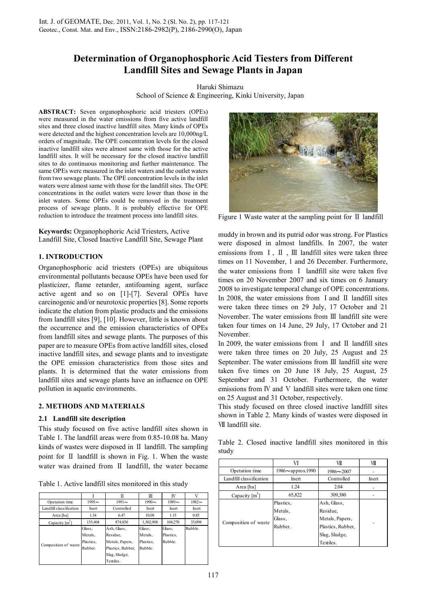# **Determination of Organophosphoric Acid Tiesters from Different Landfill Sites and Sewage Plants in Japan**

Haruki Shimazu School of Science & Engineering, Kinki University, Japan

**ABSTRACT:** Seven organophosphoric acid triesters (OPEs) were measured in the water emissions from five active landfill sites and three closed inactive landfill sites. Many kinds of OPEs were detected and the highest concentration levels are 10,000ng/L orders of magnitude. The OPE concentration levels for the closed inactive landfill sites were almost same with those for the active landfill sites. It will be necessary for the closed inactive landfill sites to do continuous monitoring and further maintenance. The same OPEs were measured in the inlet waters and the outlet waters from two sewage plants. The OPE concentration levels in the inlet waters were almost same with those for the landfill sites. The OPE concentrations in the outlet waters were lower than those in the inlet waters. Some OPEs could be removed in the treatment process of sewage plants. It is probably effective for OPE reduction to introduce the treatment process into landfill sites.

**Keywords:** Organophophoric Acid Triesters, Active Landfill Site, Closed Inactive Landfill Site, Sewage Plant

# **1. INTRODUCTION**

Organophosphoric acid triesters (OPEs) are ubiquitous environmental pollutants because OPEs have been used for plasticizer, flame retarder, antifoaming agent, surface active agent and so on [1]-[7]. Several OPEs have carcinogenic and/or neurotoxic properties [8]. Some reports indicate the elution from plastic products and the emissions from landfill sites [9], [10]. However, little is known about the occurrence and the emission characteristics of OPEs from landfill sites and sewage plants. The purposes of this paper are to measure OPEs from active landfill sites, closed inactive landfill sites, and sewage plants and to investigate the OPE emission characteristics from those sites and plants. It is determined that the water emissions from landfill sites and sewage plants have an influence on OPE pollution in aquatic environments.

# **2. METHODS AND MATERIALS**

# **2.1 Landfill site description**

This study focused on five active landfill sites shown in Table 1. The landfill areas were from 0.85-10.08 ha. Many kinds of wastes were disposed in II landfill. The sampling point for Ⅱ landfill is shown in Fig. 1. When the waste water was drained from II landfill, the water became

Table 1. Active landfill sites monitored in this study

|                         |                                           | Π                                                                                             | Ш                                        | IV                            | V        |
|-------------------------|-------------------------------------------|-----------------------------------------------------------------------------------------------|------------------------------------------|-------------------------------|----------|
| Opetation time          | $1995 -$                                  | $1991 -$                                                                                      | $1990 \sim$                              | $1989 -$                      | $1982 -$ |
| Landfill classification | Inert                                     | Controlled                                                                                    | Inert                                    | Inert                         | Inert    |
| Area [ha]               | 1.34                                      | 6.47                                                                                          | 10.08                                    | 1.15                          | 0.85     |
| Capacity [m]            | 135,404                                   | 874,850                                                                                       | 1,302,908                                | 104.270                       | 35,098   |
| Composition of waste    | Glass,<br>Metals,<br>Plastics.<br>Rubber. | Ash, Glass,<br>Residue.<br>Metals, Papers,<br>Plastics, Rubber,<br>Slag, Sludge,<br>Textiles. | Glass,<br>Metals.<br>Plastics.<br>Rubble | Glass,<br>Plastics.<br>Rubble | Rubble   |



Figure 1 Waste water at the sampling point for II landfill

muddy in brown and its putrid odor was strong. For Plastics were disposed in almost landfills. In 2007, the water emissions from Ⅰ, Ⅱ , Ⅲ landfill sites were taken three times on 11 November, 1 and 26 December. Furthermore, the water emissions from Ⅰ landfill site were taken five times on 20 November 2007 and six times on 6 January 2008 to investigate temporal change of OPE concentrations. In 2008, the water emissions from Ⅰand Ⅱ landfill sites were taken three times on 29 July, 17 October and 21 November. The water emissions from Ⅲ landfill site were taken four times on 14 June, 29 July, 17 October and 21 November.

In 2009, the water emissions from I and II landfill sites were taken three times on 20 July, 25 August and 25 September. The water emissions from Ⅲ landfill site were taken five times on 20 June 18 July, 25 August, 25 September and 31 October. Furthermore, the water emissions from IV and V landfill sites were taken one time on 25 August and 31 October, respectively.

This study focused on three closed inactive landfill sites shown in Table 2. Many kinds of wastes were disposed in Ⅶ landfill site.

Table 2. Closed inactive landfill sites monitored in this study

|                          | VI                       | VII               | VIII  |
|--------------------------|--------------------------|-------------------|-------|
| Opetation time           | $1986 \sim$ approx. 1990 | $1986 - 2007$     |       |
| Landfill classification  | Inert                    | Controlled        | Inert |
| Area [ha]                | 1.24                     | 2.04              |       |
| Capacity [m <sup>3</sup> | 65,822                   | 309,380           |       |
|                          | Plastics.                | Ash, Glass,       |       |
|                          | Metals,                  | Residue.          |       |
|                          | Glass,                   | Metals, Papers,   |       |
| Composition of waste     | Rubber.                  | Plastics, Rubber, |       |
|                          |                          | Slag, Sludge,     |       |
|                          |                          | Textiles.         |       |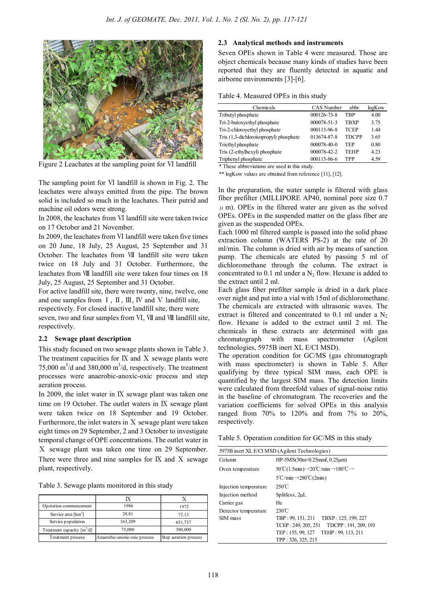

Figure 2 Leachates at the sampling point for Ⅵ landfill

The sampling point for Ⅵ landfill is shown in Fig. 2. The leachates were always emitted from the pipe. The brown solid is included so much in the leachates. Their putrid and machine oil odors were strong.

In 2008, the leachates from Ⅵ landfill site were taken twice on 17 October and 21 November.

In 2009, the leachates from Ⅵ landfill were taken five times on 20 June, 18 July, 25 August, 25 September and 31 October. The leachates from Ⅶ landfill site were taken twice on 18 July and 31 October. Furthermore, the leachates from Ⅷ landfill site were taken four times on 18 July, 25 August, 25 September and 31 October.

For active landfill site, there were twenty, nine, twelve, one and one samples from  $I$ ,  $II$ ,  $III$ ,  $IV$  and  $V$  landfill site, respectively. For closed inactive landfill site, there were seven, two and four samples from VI, VII and VII landfill site, respectively.

# **2.2 Sewage plant description**

This study focused on two sewage plants shown in Table 3. The treatment capacities for IX and X sewage plants were 75,000 m<sup>3</sup>/d and 380,000 m<sup>3</sup>/d, respectively. The treatment processes were anaerobic-anoxic-oxic process and step aeration process.

In 2009, the inlet water in IX sewage plant was taken one time on 19 October. The outlet waters in Ⅸ sewage plant were taken twice on 18 September and 19 October. Furthermore, the inlet waters in  $X$  sewage plant were taken eight times on 29 September, 2 and 3 October to investigate temporal change of OPE concentrations. The outlet water in Ⅹ sewage plant was taken one time on 29 September. There were three and nine samples for  $IX$  and  $X$  sewage plant, respectively.

Table 3. Sewage plants monitored in this study

| Opetation commencement       | 1986                          | 1972                  |
|------------------------------|-------------------------------|-----------------------|
| Service area $[km^2]$        | 28.81                         | 72.13                 |
| Service population           | 163,209                       | 651,737               |
| Treatment capacity $[m^3/d]$ | 75,000                        | 380,000               |
| Treatment process            | Anaerobic-anoxic-oxic process | Step aeration process |

# **2.3 Analytical methods and instruments**

Seven OPEs shown in Table 4 were measured. Those are object chemicals because many kinds of studies have been reported that they are fluently detected in aquatic and airborne environments [3]-[6].

|  | Table 4. Measured OPEs in this study |  |  |  |
|--|--------------------------------------|--|--|--|
|--|--------------------------------------|--|--|--|

| Chemicals                              | <b>CAS</b> Number | abbr. | logKow |
|----------------------------------------|-------------------|-------|--------|
| Tributyl phosphate                     | 000126-73-8       | TRP   | 4.00   |
| Tri-2-butoxyethyl phosphate            | 000078-51-3       | TBXP  | 3.75   |
| Tri-2-chloroyethyl phosphate           | 000115-96-8       | TCEP  | 1.44   |
| Tris (1,3-dichloroisopropyl) phosphate | 013674-87-8       | TDCPP | 3.65   |
| Triethyl phosphate                     | 000078-40-0       | TEP   | 0.80   |
| Tris (2-ethylhexyl) phosphate          | 000078-42-2       | TEHP  | 4.23   |
| Triphenyl phosphate                    | 000115-86-6       | TPP   | 4.59   |

\* These abbreviations are used in this study.

\*\* logKow values are obtained from reference [11], [12].

In the preparation, the water sample is filtered with glass fiber prefilter (MILLIPORE AP40, nominal pore size 0.7  $\mu$  m). OPEs in the filtered water are given as the solved OPEs. OPEs in the suspended matter on the glass fiber are given as the suspended OPEs.

Each 1000 ml filtered sample is passed into the solid phase extraction column (WATERS PS-2) at the rate of 20 ml/min. The column is dried with air by means of sanction pump. The chemicals are eluted by passing 5 ml of dichloromethane through the column. The extract is concentrated to  $0.1$  ml under a  $N<sub>2</sub>$  flow. Hexane is added to the extract until 2 ml.

Each glass fiber prefilter sample is dried in a dark place over night and put into a vial with 15ml of dichloromethane. The chemicals are extracted with ultrasonic waves. The extract is filtered and concentrated to  $0.1$  ml under a  $N<sub>2</sub>$ flow. Hexane is added to the extract until 2 ml. The chemicals in these extracts are determined with gas chromatograph with mass spectrometer (Agilent technologies, 5975B inert XL E/CI MSD).

The operation condition for GC/MS (gas chromatograph with mass spectrometer) is shown in Table 5. After qualifying by three typical SIM mass, each OPE is quantified by the largest SIM mass. The detection limits were calculated from threefold values of signal-noise ratio in the baseline of chromatogram. The recoveries and the variation coefficients for solved OPEs in this analysis ranged from 70% to 120% and from 7% to 20%, respectively.

Table 5. Operation condition for GC/MS in this study

| 5975B inert XL E/CI MSD (Agilent Technologies) |                                                                                                       |  |  |
|------------------------------------------------|-------------------------------------------------------------------------------------------------------|--|--|
| Column                                         | $HP-5MS(30m \times 0.25mmf, 0.25mm)$                                                                  |  |  |
| Oven temperature                               | $50^{\circ}$ C(1.5min) $\rightarrow$ 20 $^{\circ}$ C/min $\rightarrow$ 180 $^{\circ}$ C $\rightarrow$ |  |  |
|                                                | $5^{\circ}$ C/min $\rightarrow$ 280 $^{\circ}$ C(2min)                                                |  |  |
| Injection temperature                          | $250^{\circ}$ C                                                                                       |  |  |
| Injection method                               | Splitless, 2uL                                                                                        |  |  |
| Carrier gas                                    | He                                                                                                    |  |  |
| Detector temperature                           | $230^{\circ}$ C                                                                                       |  |  |
| SIM mass                                       | TBXP: 125, 199, 227<br>TBP: 99, 151, 211                                                              |  |  |
|                                                | TCEP: 249, 205, 251<br>TDCPP: 191, 209, 193                                                           |  |  |
|                                                | TEHP: 99, 113, 211<br>TEP: 155, 99, 127                                                               |  |  |
|                                                | TPP: 326, 325, 215                                                                                    |  |  |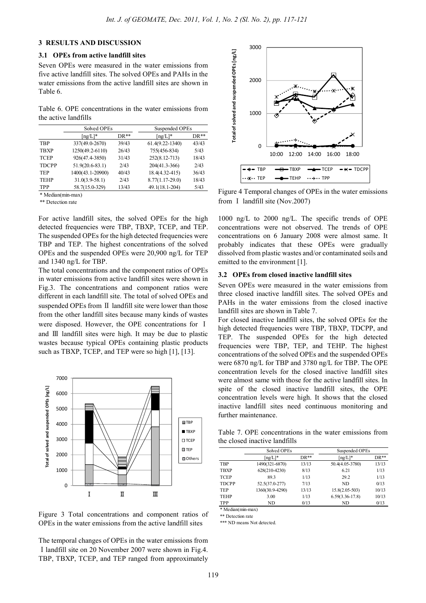# **3 RESULTS AND DISCUSSION**

#### **3.1 OPEs from active landfill sites**

Seven OPEs were measured in the water emissions from five active landfill sites. The solved OPEs and PAHs in the water emissions from the active landfill sites are shown in Table 6.

Table 6. OPE concentrations in the water emissions from the active landfills

|              | Solved OPEs       |        | Suspended OPEs      |        |
|--------------|-------------------|--------|---------------------|--------|
|              | $\lceil$ ng/L]*   | $DR**$ | $\lceil$ ng/L]*     | $DR**$ |
| <b>TRP</b>   | 337(49.0-2670)    | 39/43  | $61.4(9.22 - 1340)$ | 43/43  |
| <b>TBXP</b>  | 1250(49.2-6110)   | 26/43  | 755(456-834)        | 5/43   |
| <b>TCEP</b>  | 926(47.4-3850)    | 31/43  | 252(8.12-713)       | 18/43  |
| <b>TDCPP</b> | $51.9(20.6-83.1)$ | 2/43   | 204(41.3-366)       | 2/43   |
| <b>TEP</b>   | 1400(43.1-20900)  | 40/43  | 18.4(4.32-415)      | 36/43  |
| <b>TEHP</b>  | $31.0(3.9-58.1)$  | 2/43   | $8.77(1.17-29.0)$   | 18/43  |
| <b>TPP</b>   | 58.7(15.0-329)    | 13/43  | 49.1(18.1-204)      | 5/43   |

\* Median(min-max)

\*\* Detection rate

For active landfill sites, the solved OPEs for the high detected frequencies were TBP, TBXP, TCEP, and TEP. The suspended OPEs for the high detected frequencies were TBP and TEP. The highest concentrations of the solved OPEs and the suspended OPEs were 20,900 ng/L for TEP and 1340 ng/L for TBP.

The total concentrations and the component ratios of OPEs in water emissions from active landfill sites were shown in Fig.3. The concentrations and component ratios were different in each landfill site. The total of solved OPEs and suspended OPEs from II landfill site were lower than those from the other landfill sites because many kinds of wastes were disposed. However, the OPE concentrations for Ⅰ and Ⅲ landfill sites were high. It may be due to plastic wastes because typical OPEs containing plastic products such as TBXP, TCEP, and TEP were so high [1], [13].



Figure 3 Total concentrations and component ratios of OPEs in the water emissions from the active landfill sites

The temporal changes of OPEs in the water emissions from Ⅰlandfill site on 20 November 2007 were shown in Fig.4. TBP, TBXP, TCEP, and TEP ranged from approximately



Figure 4 Temporal changes of OPEs in the water emissions from I landfill site (Nov.2007)

1000 ng/L to 2000 ng/L. The specific trends of OPE concentrations were not observed. The trends of OPE concentrations on 6 January 2008 were almost same. It probably indicates that these OPEs were gradually dissolved from plastic wastes and/or contaminated soils and emitted to the environment [1].

#### **3.2 OPEs from closed inactive landfill sites**

Seven OPEs were measured in the water emissions from three closed inactive landfill sites. The solved OPEs and PAHs in the water emissions from the closed inactive landfill sites are shown in Table 7.

For closed inactive landfill sites, the solved OPEs for the high detected frequencies were TBP, TBXP, TDCPP, and TEP. The suspended OPEs for the high detected frequencies were TBP, TEP, and TEHP. The highest concentrations of the solved OPEs and the suspended OPEs were 6870 ng/L for TBP and 3780 ng/L for TBP. The OPE concentration levels for the closed inactive landfill sites were almost same with those for the active landfill sites. In spite of the closed inactive landfill sites, the OPE concentration levels were high. It shows that the closed inactive landfill sites need continuous monitoring and further maintenance.

Table 7. OPE concentrations in the water emissions from the closed inactive landfills

|              | Solved OPEs                   |        | Suspended OPEs           |        |
|--------------|-------------------------------|--------|--------------------------|--------|
|              | $\lceil \text{ng/L} \rceil^*$ | $DR**$ | $\lceil$ ng/L $\rceil$ * | $DR**$ |
| <b>TBP</b>   | 1490(321-6870)                | 13/13  | 50.4(4.05-3780)          | 13/13  |
| <b>TBXP</b>  | 628(210-4230)                 | 8/13   | 6.21                     | 1/13   |
| <b>TCEP</b>  | 89.3                          | 1/13   | 29.2                     | 1/13   |
| <b>TDCPP</b> | 52.5(37.0-277)                | 7/13   | ND.                      | 0/13   |
| <b>TEP</b>   | 1360(30.9-4290)               | 13/13  | $15.8(2.05 - 503)$       | 10/13  |
| <b>TEHP</b>  | 3.00                          | 1/13   | $6.59(3.36-17.8)$        | 10/13  |
| TPP          | ND                            | 0/13   | ND                       | 0/13   |

\* Median(min-max)

\*\* Detection rate \*\*\* ND means Not detected.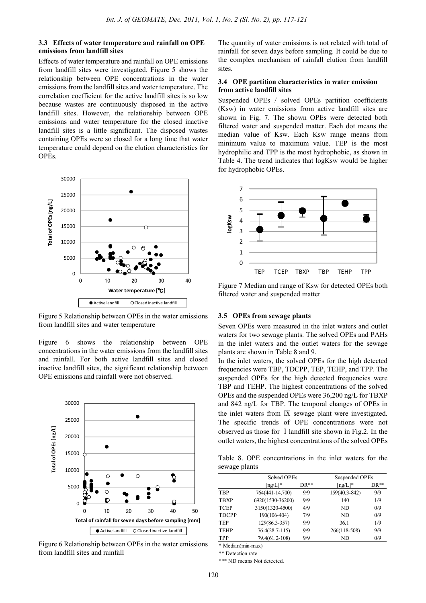# **3.3 Effects of water temperature and rainfall on OPE emissions from landfill sites**

Effects of water temperature and rainfall on OPE emissions from landfill sites were investigated. Figure 5 shows the relationship between OPE concentrations in the water emissions from the landfill sites and water temperature. The correlation coefficient for the active landfill sites is so low because wastes are continuously disposed in the active landfill sites. However, the relationship between OPE emissions and water temperature for the closed inactive landfill sites is a little significant. The disposed wastes containing OPEs were so closed for a long time that water temperature could depend on the elution characteristics for OPEs.



Figure 5 Relationship between OPEs in the water emissions from landfill sites and water temperature

Figure 6 shows the relationship between OPE concentrations in the water emissions from the landfill sites and rainfall. For both active landfill sites and closed inactive landfill sites, the significant relationship between OPE emissions and rainfall were not observed.



Figure 6 Relationship between OPEs in the water emissions from landfill sites and rainfall

The quantity of water emissions is not related with total of rainfall for seven days before sampling. It could be due to the complex mechanism of rainfall elution from landfill sites.

#### **3.4 OPE partition characteristics in water emission from active landfill sites**

Suspended OPEs / solved OPEs partition coefficients (Ksw) in water emissions from active landfill sites are shown in Fig. 7. The shown OPEs were detected both filtered water and suspended matter. Each dot means the median value of Ksw. Each Ksw range means from minimum value to maximum value. TEP is the most hydrophilic and TPP is the most hydrophobic, as shown in Table 4. The trend indicates that logKsw would be higher for hydrophobic OPEs.



Figure 7 Median and range of Ksw for detected OPEs both filtered water and suspended matter

#### **3.5 OPEs from sewage plants**

Seven OPEs were measured in the inlet waters and outlet waters for two sewage plants. The solved OPEs and PAHs in the inlet waters and the outlet waters for the sewage plants are shown in Table 8 and 9.

In the inlet waters, the solved OPEs for the high detected frequencies were TBP, TDCPP, TEP, TEHP, and TPP. The suspended OPEs for the high detected frequencies were TBP and TEHP. The highest concentrations of the solved OPEs and the suspended OPEs were 36,200 ng/L for TBXP and 842 ng/L for TBP. The temporal changes of OPEs in the inlet waters from Ⅸ sewage plant were investigated. The specific trends of OPE concentrations were not observed as those for Ⅰlandfill site shown in Fig.2. In the outlet waters, the highest concentrations of the solved OPEs

Table 8. OPE concentrations in the inlet waters for the sewage plants

|              | Solved OPEs      |        | Suspended OPEs             |        |
|--------------|------------------|--------|----------------------------|--------|
|              | $\lfloor$ ng/L]* | $DR**$ | $\lfloor$ ng/L $\rfloor^*$ | $DR**$ |
| <b>TBP</b>   | 764(441-14,700)  | 9/9    | 159(40.3-842)              | 9/9    |
| <b>TBXP</b>  | 6920(1530-36200) | 9/9    | 140                        | 1/9    |
| <b>TCEP</b>  | 3150(1320-4500)  | 4/9    | ND.                        | 0/9    |
| <b>TDCPP</b> | 190(106-404)     | 7/9    | ND.                        | 0/9    |
| <b>TEP</b>   | 129(86.3-357)    | 9/9    | 36.1                       | 1/9    |
| <b>TEHP</b>  | $76.4(28.7-115)$ | 9/9    | 266(118-508)               | 9/9    |
| <b>TPP</b>   | 79.4(61.2-108)   | 9/9    | ND                         | 0/9    |

\* Median(min-max)

\*\* Detection rate

\*\*\* ND means Not detected.